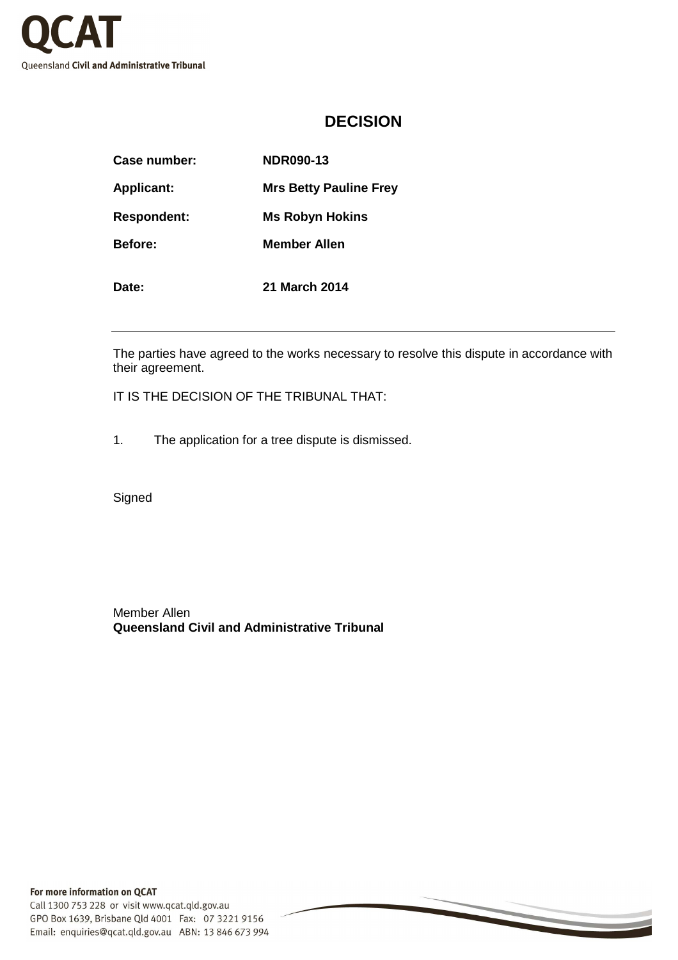

## **DECISION**

| Case number:       | <b>NDR090-13</b>              |
|--------------------|-------------------------------|
| <b>Applicant:</b>  | <b>Mrs Betty Pauline Frey</b> |
| <b>Respondent:</b> | <b>Ms Robyn Hokins</b>        |
| <b>Before:</b>     | Member Allen                  |
| Date:              | <b>21 March 2014</b>          |

The parties have agreed to the works necessary to resolve this dispute in accordance with their agreement.

IT IS THE DECISION OF THE TRIBUNAL THAT:

1. The application for a tree dispute is dismissed.

Signed

Member Allen **Queensland Civil and Administrative Tribunal**